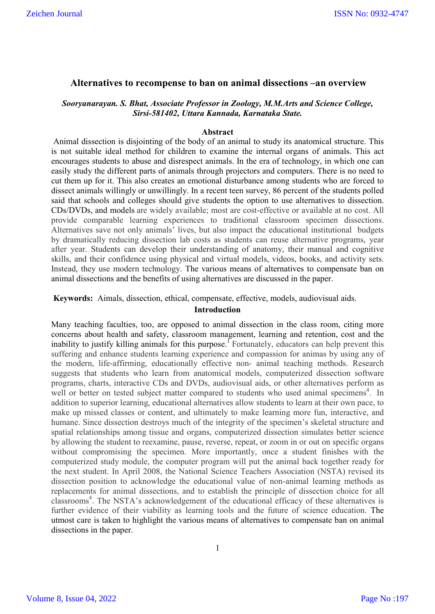## **Alternatives to recompense to ban on animal dissections –an overview**

# *Sooryanarayan. S. Bhat, Associate Professor in Zoology, M.M.Arts and Science College, Sirsi-581402, Uttara Kannada, Karnataka State.*

#### **Abstract**

Animal dissection is disjointing of the body of an animal to study its anatomical structure. This is not suitable ideal method for children to examine the internal organs of animals. This act encourages students to abuse and disrespect animals. In the era of technology, in which one can easily study the different parts of animals through projectors and computers. There is no need to cut them up for it. This also creates an emotional disturbance among students who are forced to dissect animals willingly or unwillingly. In a recent teen survey, 86 percent of the students polled said that schools and colleges should give students the option to use alternatives to dissection. CDs/DVDs, and models are widely available; most are cost-effective or available at no cost. All provide comparable learning experiences to traditional classroom specimen dissections. Alternatives save not only animals' lives, but also impact the educational institutional budgets by dramatically reducing dissection lab costs as students can reuse alternative programs, year after year. Students can develop their understanding of anatomy, their manual and cognitive skills, and their confidence using physical and virtual models, videos, books, and activity sets. Instead, they use modern technology. The various means of alternatives to compensate ban on animal dissections and the benefits of using alternatives are discussed in the paper.

**Keywords:** Aimals, dissection, ethical, compensate, effective, models, audiovisual aids.

#### **Introduction**

Many teaching faculties, too, are opposed to animal dissection in the class room, citing more concerns about health and safety, classroom management, learning and retention, cost and the inability to justify killing animals for this purpose.<sup>1</sup> Fortunately, educators can help prevent this suffering and enhance students learning experience and compassion for animas by using any of the modern, life-affirming, educationally effective non- animal teaching methods. Research suggests that students who learn from anatomical models, computerized dissection software programs, charts, interactive CDs and DVDs, audiovisual aids, or other alternatives perform as well or better on tested subject matter compared to students who used animal specimens<sup>4</sup>. In addition to superior learning, educational alternatives allow students to learn at their own pace, to make up missed classes or content, and ultimately to make learning more fun, interactive, and humane. Since dissection destroys much of the integrity of the specimen's skeletal structure and spatial relationships among tissue and organs, computerized dissection simulates better science by allowing the student to reexamine, pause, reverse, repeat, or zoom in or out on specific organs without compromising the specimen. More importantly, once a student finishes with the computerized study module, the computer program will put the animal back together ready for the next student. In April 2008, the National Science Teachers Association (NSTA) revised its dissection position to acknowledge the educational value of non-animal learning methods as replacements for animal dissections, and to establish the principle of dissection choice for all classrooms<sup>4</sup>. The NSTA's acknowledgement of the educational efficacy of these alternatives is further evidence of their viability as learning tools and the future of science education. The utmost care is taken to highlight the various means of alternatives to compensate ban on animal dissections in the paper.

Volume 8, Issue 04, 2022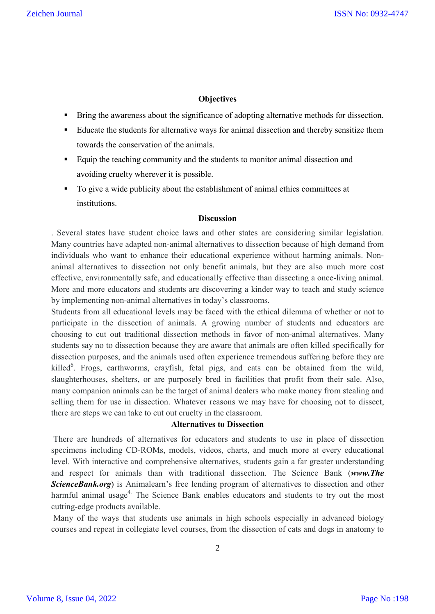# **Objectives**

- **Bring the awareness about the significance of adopting alternative methods for dissection.**
- Educate the students for alternative ways for animal dissection and thereby sensitize them towards the conservation of the animals.
- Equip the teaching community and the students to monitor animal dissection and avoiding cruelty wherever it is possible.
- To give a wide publicity about the establishment of animal ethics committees at institutions.

#### **Discussion**

. Several states have student choice laws and other states are considering similar legislation. Many countries have adapted non-animal alternatives to dissection because of high demand from individuals who want to enhance their educational experience without harming animals. Nonanimal alternatives to dissection not only benefit animals, but they are also much more cost effective, environmentally safe, and educationally effective than dissecting a once-living animal. More and more educators and students are discovering a kinder way to teach and study science by implementing non-animal alternatives in today's classrooms.

Students from all educational levels may be faced with the ethical dilemma of whether or not to participate in the dissection of animals. A growing number of students and educators are choosing to cut out traditional dissection methods in favor of non-animal alternatives. Many students say no to dissection because they are aware that animals are often killed specifically for dissection purposes, and the animals used often experience tremendous suffering before they are killed<sup>6</sup>. Frogs, earthworms, crayfish, fetal pigs, and cats can be obtained from the wild, slaughterhouses, shelters, or are purposely bred in facilities that profit from their sale. Also, many companion animals can be the target of animal dealers who make money from stealing and selling them for use in dissection. Whatever reasons we may have for choosing not to dissect, there are steps we can take to cut out cruelty in the classroom.

## **Alternatives to Dissection**

There are hundreds of alternatives for educators and students to use in place of dissection specimens including CD-ROMs, models, videos, charts, and much more at every educational level. With interactive and comprehensive alternatives, students gain a far greater understanding and respect for animals than with traditional dissection. The Science Bank (*www.The* **ScienceBank.org**) is Animalearn's free lending program of alternatives to dissection and other harmful animal usage<sup>4.</sup> The Science Bank enables educators and students to try out the most cutting-edge products available.

Many of the ways that students use animals in high schools especially in advanced biology courses and repeat in collegiate level courses, from the dissection of cats and dogs in anatomy to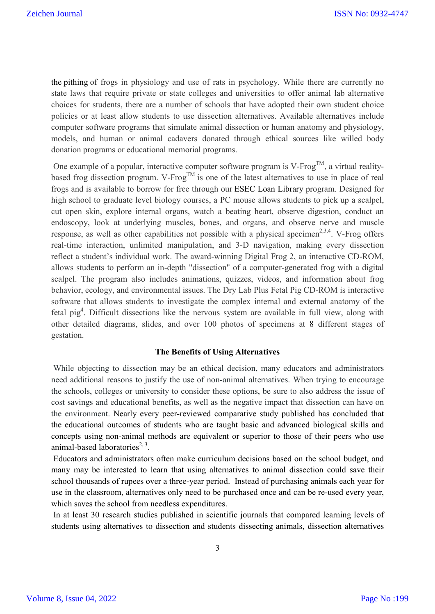the pithing of frogs in physiology and use of rats in psychology. While there are currently no state laws that require private or state colleges and universities to offer animal lab alternative choices for students, there are a number of schools that have adopted their own student choice policies or at least allow students to use dissection alternatives. Available alternatives include computer software programs that simulate animal dissection or human anatomy and physiology, models, and human or animal cadavers donated through ethical sources like willed body donation programs or educational memorial programs.

One example of a popular, interactive computer software program is V-Frog<sup>TM</sup>, a virtual realitybased frog dissection program. V-Frog<sup>TM</sup> is one of the latest alternatives to use in place of real frogs and is available to borrow for free through our ESEC Loan Library program. Designed for high school to graduate level biology courses, a PC mouse allows students to pick up a scalpel, cut open skin, explore internal organs, watch a beating heart, observe digestion, conduct an endoscopy, look at underlying muscles, bones, and organs, and observe nerve and muscle response, as well as other capabilities not possible with a physical specimen<sup>2,3,4</sup>. V-Frog offers real-time interaction, unlimited manipulation, and 3-D navigation, making every dissection reflect a student's individual work. The award-winning Digital Frog 2, an interactive CD-ROM, allows students to perform an in-depth "dissection" of a computer-generated frog with a digital scalpel. The program also includes animations, quizzes, videos, and information about frog behavior, ecology, and environmental issues. The Dry Lab Plus Fetal Pig CD-ROM is interactive software that allows students to investigate the complex internal and external anatomy of the fetal pig<sup>4</sup>. Difficult dissections like the nervous system are available in full view, along with other detailed diagrams, slides, and over 100 photos of specimens at 8 different stages of gestation.

#### **The Benefits of Using Alternatives**

While objecting to dissection may be an ethical decision, many educators and administrators need additional reasons to justify the use of non-animal alternatives. When trying to encourage the schools, colleges or university to consider these options, be sure to also address the issue of cost savings and educational benefits, as well as the negative impact that dissection can have on the environment. Nearly every peer-reviewed comparative study published has concluded that the educational outcomes of students who are taught basic and advanced biological skills and concepts using non-animal methods are equivalent or superior to those of their peers who use animal-based laboratories<sup>2, 3</sup>.

Educators and administrators often make curriculum decisions based on the school budget, and many may be interested to learn that using alternatives to animal dissection could save their school thousands of rupees over a three-year period. Instead of purchasing animals each year for use in the classroom, alternatives only need to be purchased once and can be re-used every year, which saves the school from needless expenditures.

In at least 30 research studies published in scientific journals that compared learning levels of students using alternatives to dissection and students dissecting animals, dissection alternatives